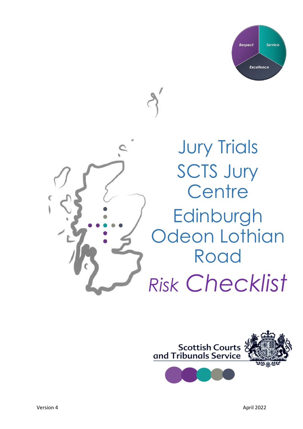



**Jury Trials** SCTS Jury **Centre Edinburgh Odeon Lothian** Road *Risk Checklist*

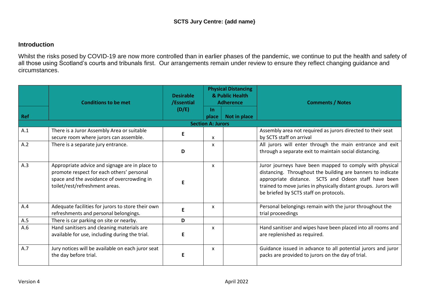## **Introduction**

Whilst the risks posed by COVID-19 are now more controlled than in earlier phases of the pandemic, we continue to put the health and safety of all those using Scotland's courts and tribunals first. Our arrangements remain under review to ensure they reflect changing guidance and circumstances.

|            | <b>Conditions to be met</b>                                                                                                                                                 | <b>Desirable</b><br>/Essential | <b>Physical Distancing</b><br>& Public Health<br><b>Adherence</b> |              | <b>Comments / Notes</b>                                                                                                                                                                                                                                                                      |  |  |  |  |  |  |
|------------|-----------------------------------------------------------------------------------------------------------------------------------------------------------------------------|--------------------------------|-------------------------------------------------------------------|--------------|----------------------------------------------------------------------------------------------------------------------------------------------------------------------------------------------------------------------------------------------------------------------------------------------|--|--|--|--|--|--|
| <b>Ref</b> |                                                                                                                                                                             | (D/E)                          | $\ln$<br>place                                                    | Not in place |                                                                                                                                                                                                                                                                                              |  |  |  |  |  |  |
|            | <b>Section A: Jurors</b>                                                                                                                                                    |                                |                                                                   |              |                                                                                                                                                                                                                                                                                              |  |  |  |  |  |  |
| A.1        | There is a Juror Assembly Area or suitable<br>secure room where jurors can assemble.                                                                                        | E.                             | X                                                                 |              | Assembly area not required as jurors directed to their seat<br>by SCTS staff on arrival                                                                                                                                                                                                      |  |  |  |  |  |  |
| A.2        | There is a separate jury entrance.                                                                                                                                          | D                              | $\mathsf{x}$                                                      |              | All jurors will enter through the main entrance and exit<br>through a separate exit to maintain social distancing.                                                                                                                                                                           |  |  |  |  |  |  |
| A.3        | Appropriate advice and signage are in place to<br>promote respect for each others' personal<br>space and the avoidance of overcrowding in<br>toilet/rest/refreshment areas. | F                              | X                                                                 |              | Juror journeys have been mapped to comply with physical<br>distancing. Throughout the building are banners to indicate<br>appropriate distance. SCTS and Odeon staff have been<br>trained to move juries in physically distant groups. Jurors will<br>be briefed by SCTS staff on protocols. |  |  |  |  |  |  |
| A.4        | Adequate facilities for jurors to store their own<br>refreshments and personal belongings.                                                                                  | E.                             | x                                                                 |              | Personal belongings remain with the juror throughout the<br>trial proceedings                                                                                                                                                                                                                |  |  |  |  |  |  |
| A.5        | There is car parking on site or nearby.                                                                                                                                     | D                              |                                                                   |              |                                                                                                                                                                                                                                                                                              |  |  |  |  |  |  |
| A.6        | Hand sanitisers and cleaning materials are<br>available for use, including during the trial.                                                                                | E                              | $\mathsf{x}$                                                      |              | Hand sanitiser and wipes have been placed into all rooms and<br>are replenished as required.                                                                                                                                                                                                 |  |  |  |  |  |  |
| A.7        | Jury notices will be available on each juror seat<br>the day before trial.                                                                                                  | F                              | X                                                                 |              | Guidance issued in advance to all potential jurors and juror<br>packs are provided to jurors on the day of trial.                                                                                                                                                                            |  |  |  |  |  |  |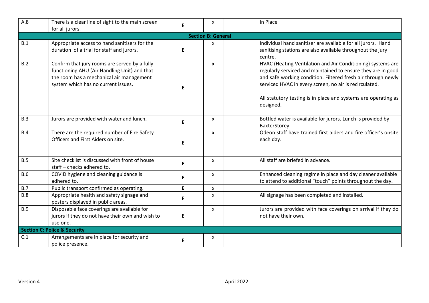| A.8                       | There is a clear line of sight to the main screen<br>for all jurors.                                                                                                             | E | x | In Place                                                                                                                                                                                                                                                                                                                             |  |  |  |  |
|---------------------------|----------------------------------------------------------------------------------------------------------------------------------------------------------------------------------|---|---|--------------------------------------------------------------------------------------------------------------------------------------------------------------------------------------------------------------------------------------------------------------------------------------------------------------------------------------|--|--|--|--|
| <b>Section B: General</b> |                                                                                                                                                                                  |   |   |                                                                                                                                                                                                                                                                                                                                      |  |  |  |  |
| B.1                       | Appropriate access to hand sanitisers for the<br>duration of a trial for staff and jurors.                                                                                       | E | X | Individual hand sanitiser are available for all jurors. Hand<br>sanitising stations are also available throughout the jury<br>centre.                                                                                                                                                                                                |  |  |  |  |
| B.2                       | Confirm that jury rooms are served by a fully<br>functioning AHU (Air Handling Unit) and that<br>the room has a mechanical air management<br>system which has no current issues. | F | X | HVAC (Heating Ventilation and Air Conditioning) systems are<br>regularly serviced and maintained to ensure they are in good<br>and safe working condition. Filtered fresh air through newly<br>serviced HVAC in every screen, no air is recirculated.<br>All statutory testing is in place and systems are operating as<br>designed. |  |  |  |  |
| B.3                       | Jurors are provided with water and lunch.                                                                                                                                        | E | x | Bottled water is available for jurors. Lunch is provided by<br>BaxterStorey.                                                                                                                                                                                                                                                         |  |  |  |  |
| <b>B.4</b>                | There are the required number of Fire Safety<br>Officers and First Aiders on site.                                                                                               | E | X | Odeon staff have trained first aiders and fire officer's onsite<br>each day.                                                                                                                                                                                                                                                         |  |  |  |  |
| B.5                       | Site checklist is discussed with front of house<br>staff - checks adhered to.                                                                                                    | E | x | All staff are briefed in advance.                                                                                                                                                                                                                                                                                                    |  |  |  |  |
| <b>B.6</b>                | COVID hygiene and cleaning guidance is<br>adhered to.                                                                                                                            | E | X | Enhanced cleaning regime in place and day cleaner available<br>to attend to additional "touch" points throughout the day.                                                                                                                                                                                                            |  |  |  |  |
| B.7                       | Public transport confirmed as operating.                                                                                                                                         | E | X |                                                                                                                                                                                                                                                                                                                                      |  |  |  |  |
| <b>B.8</b>                | Appropriate health and safety signage and<br>posters displayed in public areas.                                                                                                  | E | X | All signage has been completed and installed.                                                                                                                                                                                                                                                                                        |  |  |  |  |
| <b>B.9</b>                | Disposable face coverings are available for<br>jurors if they do not have their own and wish to<br>use one.                                                                      | E | X | Jurors are provided with face coverings on arrival if they do<br>not have their own.                                                                                                                                                                                                                                                 |  |  |  |  |
|                           | <b>Section C: Police &amp; Security</b>                                                                                                                                          |   |   |                                                                                                                                                                                                                                                                                                                                      |  |  |  |  |
| C.1                       | Arrangements are in place for security and<br>police presence.                                                                                                                   | E | x |                                                                                                                                                                                                                                                                                                                                      |  |  |  |  |